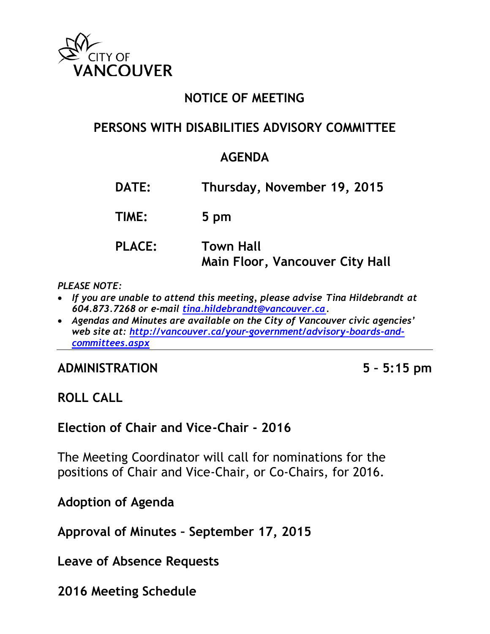

## **NOTICE OF MEETING**

### **PERSONS WITH DISABILITIES ADVISORY COMMITTEE**

## **AGENDA**

**DATE: Thursday, November 19, 2015**

**TIME: 5 pm**

# **PLACE: Town Hall Main Floor, Vancouver City Hall**

#### *PLEASE NOTE:*

- *If you are unable to attend this meeting, please advise Tina Hildebrandt at 604.873.7268 or e-mail [tina.hildebrandt@vancouver.ca.](mailto:tina.hildebrandt@vancouver.ca)*
- *Agendas and Minutes are available on the City of Vancouver civic agencies' web site at: [http://vancouver.ca/your-government/advisory-boards-and](http://vancouver.ca/your-government/advisory-boards-and-committees.aspx)[committees.aspx](http://vancouver.ca/your-government/advisory-boards-and-committees.aspx)*

#### **ADMINISTRATION 5 – 5:15 pm**

#### **ROLL CALL**

**Election of Chair and Vice-Chair - 2016**

The Meeting Coordinator will call for nominations for the positions of Chair and Vice-Chair, or Co-Chairs, for 2016.

**Adoption of Agenda**

**Approval of Minutes – September 17, 2015**

**Leave of Absence Requests**

**2016 Meeting Schedule**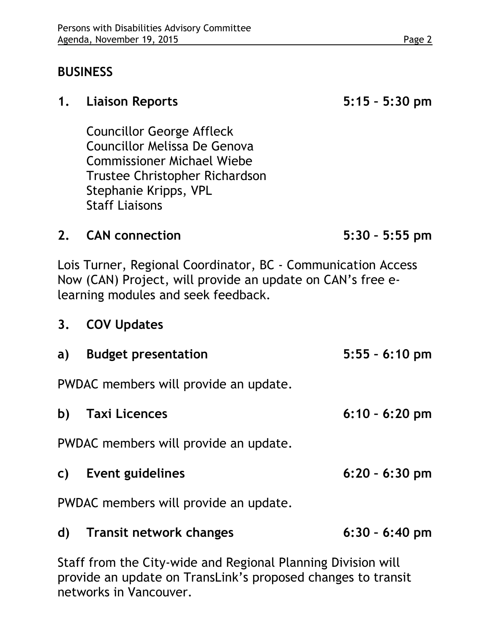## **BUSINESS**

#### **1. Liaison Reports 5:15 – 5:30 pm**

Councillor George Affleck Councillor Melissa De Genova Commissioner Michael Wiebe Trustee Christopher Richardson Stephanie Kripps, VPL Staff Liaisons

#### **2. CAN connection 5:30 – 5:55 pm**

Lois Turner, Regional Coordinator, BC - Communication Access Now (CAN) Project, will provide an update on CAN's free elearning modules and seek feedback.

## **3. COV Updates**

|                                       | a) Budget presentation | $5:55 - 6:10$ pm |
|---------------------------------------|------------------------|------------------|
| PWDAC members will provide an update. |                        |                  |
|                                       | b) Taxi Licences       | $6:10 - 6:20$ pm |
| PWDAC members will provide an update. |                        |                  |
|                                       | c) Event guidelines    | $6:20 - 6:30$ pm |
| PWDAC members will provide an update. |                        |                  |
|                                       |                        |                  |

**d) Transit network changes 6:30 – 6:40 pm**

Staff from the City-wide and Regional Planning Division will provide an update on TransLink's proposed changes to transit networks in Vancouver.